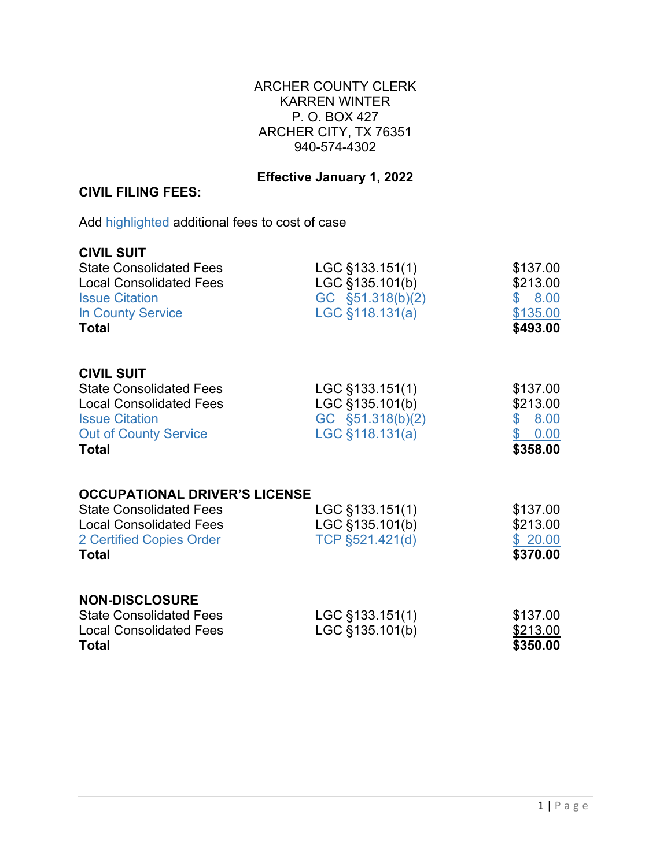## ARCHER COUNTY CLERK KARREN WINTER P. O. BOX 427 ARCHER CITY, TX 76351 940-574-4302

## **Effective January 1, 2022**

## **CIVIL FILING FEES:**

Add highlighted additional fees to cost of case

| <b>CIVIL SUIT</b><br><b>State Consolidated Fees</b><br><b>Local Consolidated Fees</b><br><b>Issue Citation</b><br><b>In County Service</b><br><b>Total</b>     | LGC §133.151(1)<br>LGC §135.101(b)<br>GC §51.318(b)(2)<br>LGC §118.131(a)   | \$137.00<br>\$213.00<br>\$8.00<br>\$135.00<br>\$493.00              |
|----------------------------------------------------------------------------------------------------------------------------------------------------------------|-----------------------------------------------------------------------------|---------------------------------------------------------------------|
| <b>CIVIL SUIT</b><br><b>State Consolidated Fees</b><br><b>Local Consolidated Fees</b><br><b>Issue Citation</b><br><b>Out of County Service</b><br><b>Total</b> | LGC §133.151(1)<br>LGC §135.101(b)<br>GC §51.318(b)(2)<br>$LGC$ §118.131(a) | \$137.00<br>\$213.00<br>8.00<br>$\mathbf{\$}$<br>\$0.00<br>\$358.00 |
| <b>OCCUPATIONAL DRIVER'S LICENSE</b><br><b>State Consolidated Fees</b><br><b>Local Consolidated Fees</b><br>2 Certified Copies Order<br><b>Total</b>           | LGC §133.151(1)<br>LGC §135.101(b)<br>TCP §521.421(d)                       | \$137.00<br>\$213.00<br>\$20.00<br>\$370.00                         |
| <b>NON-DISCLOSURE</b><br><b>State Consolidated Fees</b><br><b>Local Consolidated Fees</b><br><b>Total</b>                                                      | LGC §133.151(1)<br>LGC §135.101(b)                                          | \$137.00<br>\$213.00<br>\$350.00                                    |